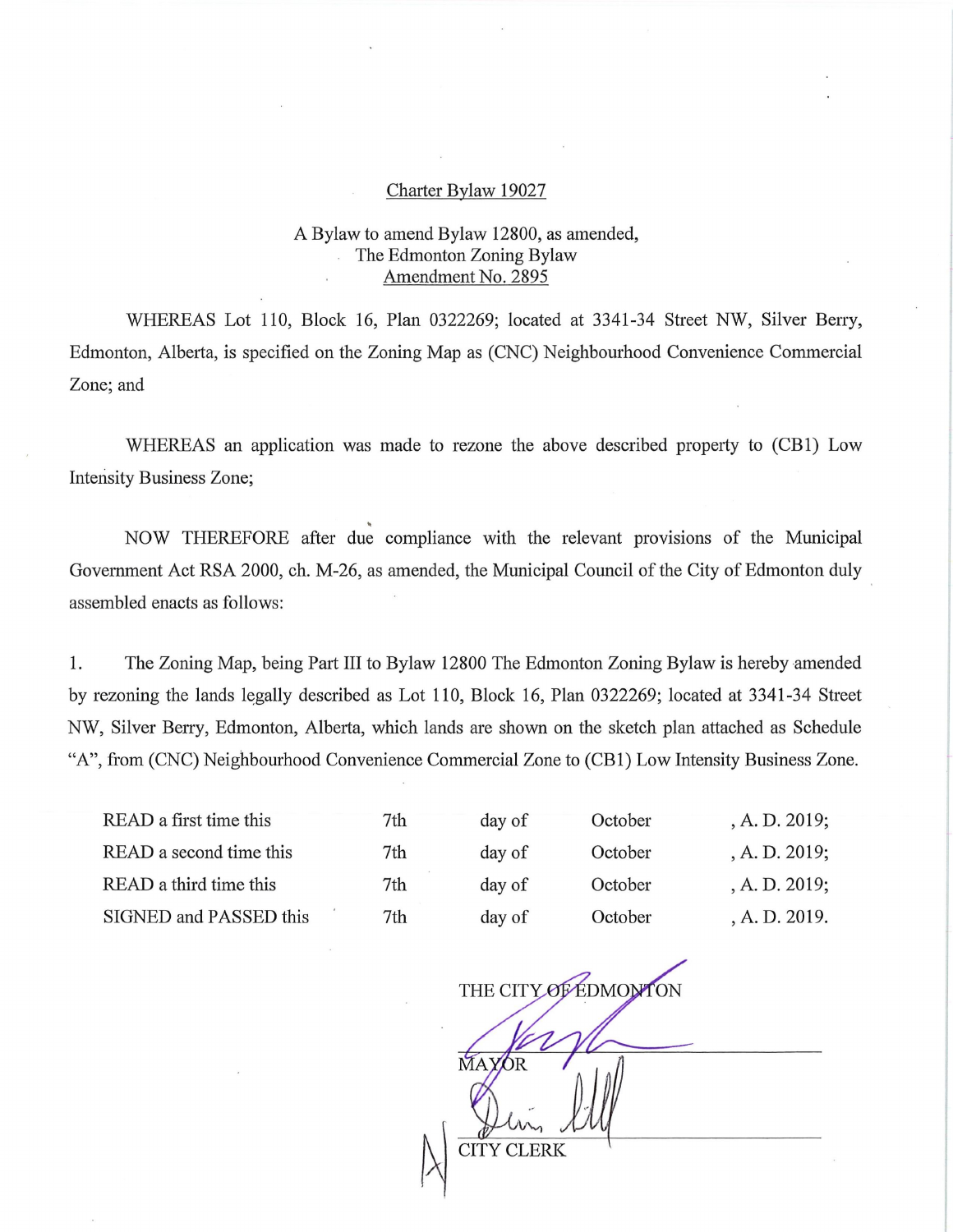## Charter Bylaw 19027

## A Bylaw to amend Bylaw 12800, as amended, The Edmonton Zoning Bylaw Amendment No. 2895

WHEREAS Lot 110, Block 16, Plan 0322269; located at 3341-34 Street NW, Silver Berry, Edmonton, Alberta, is specified on the Zoning Map as (CNC) Neighbourhood Convenience Commercial Zone; and

WHEREAS an application was made to rezone the above described property to (CB1) Low Intensity Business Zone;

NOW THEREFORE after due compliance with the relevant provisions of the Municipal Government Act RSA 2000, ch. M-26, as amended, the Municipal Council of the City of Edmonton duly assembled enacts as follows:

1. The Zoning Map, being Part III to Bylaw 12800 The Edmonton Zoning Bylaw is hereby amended by rezoning the lands legally described as Lot 110, Block 16, Plan 0322269; located at 3341-34 Street NW, Silver Berry, Edmonton, Alberta, which lands are shown on the sketch plan attached as Schedule "A", from (CNC) Neighbourhood Convenience Commercial Zone to (CBI) Low Intensity Business Zone.

| READ a first time this  | 7th | day of | October | A. D. 2019;   |
|-------------------------|-----|--------|---------|---------------|
| READ a second time this | 7th | day of | October | A. D. 2019;   |
| READ a third time this  | 7th | day of | October | A. D. 2019;   |
| SIGNED and PASSED this  | 7th | day of | October | , A. D. 2019. |

THE CITY OF EDMONTON AYOR<sup></sup> CITY CLERK